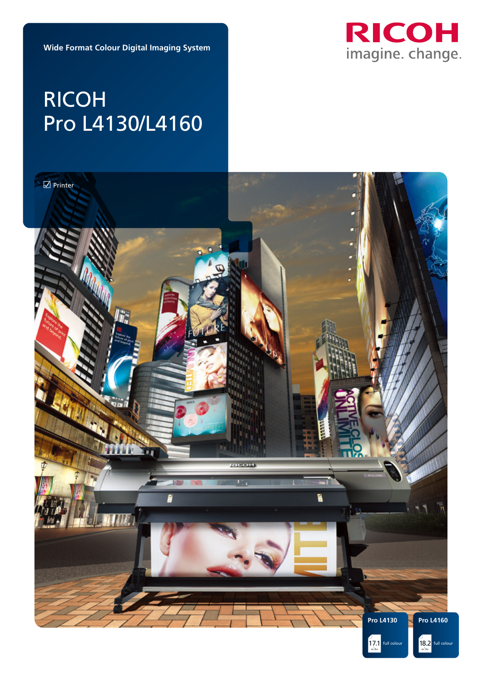

**Wide Format Colour Digital Imaging System**

# RICOH Pro L4130/L4160

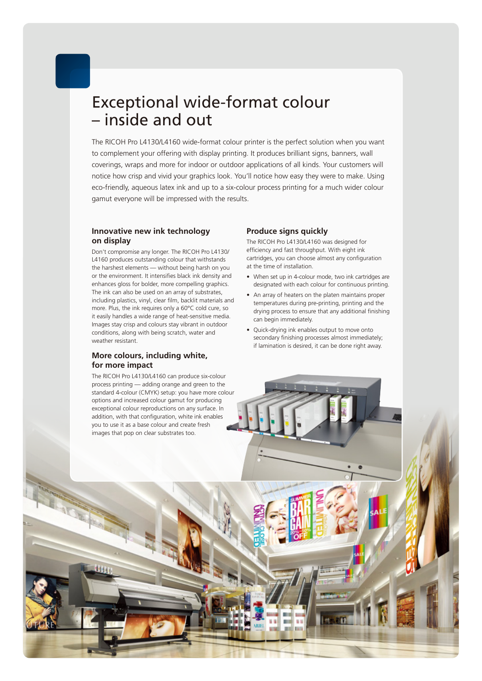### Exceptional wide-format colour – inside and out

The RICOH Pro L4130/L4160 wide-format colour printer is the perfect solution when you want to complement your offering with display printing. It produces brilliant signs, banners, wall coverings, wraps and more for indoor or outdoor applications of all kinds. Your customers will notice how crisp and vivid your graphics look. You'll notice how easy they were to make. Using eco-friendly, aqueous latex ink and up to a six-colour process printing for a much wider colour gamut everyone will be impressed with the results.

#### **Innovative new ink technology on display**

Don't compromise any longer. The RICOH Pro L4130/ L4160 produces outstanding colour that withstands the harshest elements — without being harsh on you or the environment. It intensifies black ink density and enhances gloss for bolder, more compelling graphics. The ink can also be used on an array of substrates, including plastics, vinyl, clear film, backlit materials and more. Plus, the ink requires only a 60°C cold cure, so it easily handles a wide range of heat-sensitive media. Images stay crisp and colours stay vibrant in outdoor conditions, along with being scratch, water and weather resistant.

#### **More colours, including white, for more impact**

The RICOH Pro L4130/L4160 can produce six-colour process printing — adding orange and green to the standard 4-colour (CMYK) setup: you have more colour options and increased colour gamut for producing exceptional colour reproductions on any surface. In addition, with that configuration, white ink enables you to use it as a base colour and create fresh images that pop on clear substrates too.

#### **Produce signs quickly**

The RICOH Pro L4130/L4160 was designed for efficiency and fast throughput. With eight ink cartridges, you can choose almost any configuration at the time of installation.

- When set up in 4-colour mode, two ink cartridges are designated with each colour for continuous printing.
- An array of heaters on the platen maintains proper temperatures during pre-printing, printing and the drying process to ensure that any additional finishing can begin immediately.
- Quick-drying ink enables output to move onto secondary finishing processes almost immediately; if lamination is desired, it can be done right away.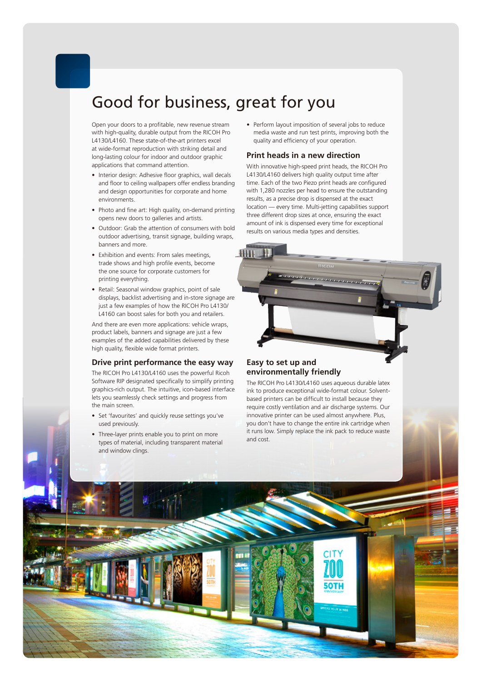## Good for business, great for you

Open your doors to a profitable, new revenue stream with high-quality, durable output from the RICOH Pro L4130/L4160. These state-of-the-art printers excel at wide-format reproduction with striking detail and long-lasting colour for indoor and outdoor graphic applications that command attention.

- Interior design: Adhesive floor graphics, wall decals and floor to ceiling wallpapers offer endless branding and design opportunities for corporate and home environments.
- Photo and fine art: High quality, on-demand printing opens new doors to galleries and artists.
- Outdoor: Grab the attention of consumers with bold outdoor advertising, transit signage, building wraps, banners and more.
- Exhibition and events: From sales meetings, trade shows and high profile events, become the one source for corporate customers for printing everything.
- Retail: Seasonal window graphics, point of sale displays, backlist advertising and in-store signage are just a few examples of how the RICOH Pro L4130/ L4160 can boost sales for both you and retailers.

And there are even more applications: vehicle wraps, product labels, banners and signage are just a few examples of the added capabilities delivered by these high quality, flexible wide format printers.

#### **Drive print performance the easy way**

The RICOH Pro L4130/L4160 uses the powerful Ricoh Software RIP designated specifically to simplify printing graphics-rich output. The intuitive, icon-based interface lets you seamlessly check settings and progress from the main screen.

- Set 'favourites' and quickly reuse settings you've used previously.
- Three-layer prints enable you to print on more types of material, including transparent material and window clings.

• Perform layout imposition of several jobs to reduce media waste and run test prints, improving both the quality and efficiency of your operation.

#### **Print heads in a new direction**

With innovative high-speed print heads, the RICOH Pro L4130/L4160 delivers high quality output time after time. Each of the two Piezo print heads are configured with 1,280 nozzles per head to ensure the outstanding results, as a precise drop is dispensed at the exact location — every time. Multi-jetting capabilities support three different drop sizes at once, ensuring the exact amount of ink is dispensed every time for exceptional results on various media types and densities.



#### **Easy to set up and environmentally friendly**

The RICOH Pro L4130/L4160 uses aqueous durable latex ink to produce exceptional wide-format colour. Solventbased printers can be difficult to install because they require costly ventilation and air discharge systems. Our innovative printer can be used almost anywhere. Plus, you don't have to change the entire ink cartridge when it runs low. Simply replace the ink pack to reduce waste and cost.